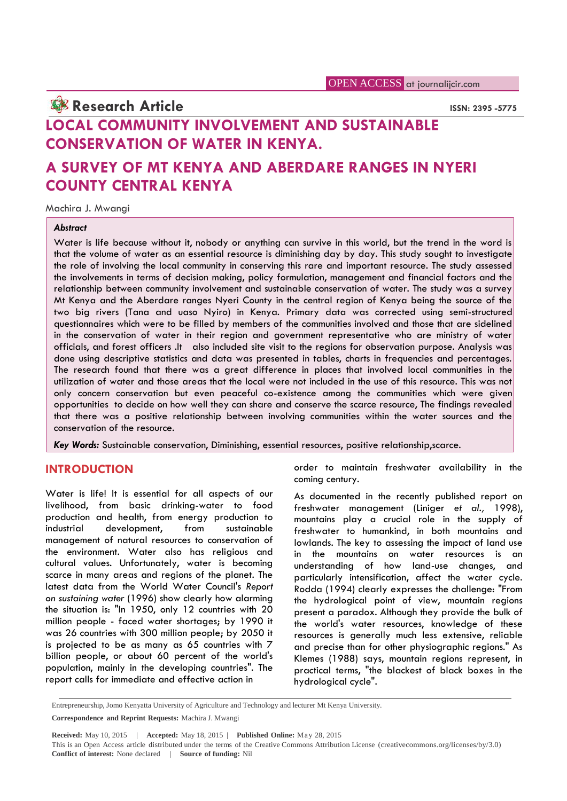**Research Article ISSN: 2395 -5775 LOCAL COMMUNITY INVOLVEMENT AND SUSTAINABLE CONSERVATION OF WATER IN KENYA.**

# **A SURVEY OF MT KENYA AND ABERDARE RANGES IN NYERI COUNTY CENTRAL KENYA**

Machira J. Mwangi

#### *Abstract*

Water is life because without it, nobody or anything can survive in this world, but the trend in the word is that the volume of water as an essential resource is diminishing day by day. This study sought to investigate the role of involving the local community in conserving this rare and important resource. The study assessed the involvements in terms of decision making, policy formulation, management and financial factors and the relationship between community involvement and sustainable conservation of water. The study was a survey Mt Kenya and the Aberdare ranges Nyeri County in the central region of Kenya being the source of the two big rivers (Tana and uaso Nyiro) in Kenya. Primary data was corrected using semi-structured questionnaires which were to be filled by members of the communities involved and those that are sidelined in the conservation of water in their region and government representative who are ministry of water officials, and forest officers .It also included site visit to the regions for observation purpose. Analysis was done using descriptive statistics and data was presented in tables, charts in frequencies and percentages. The research found that there was a great difference in places that involved local communities in the utilization of water and those areas that the local were not included in the use of this resource. This was not only concern conservation but even peaceful co-existence among the communities which were given opportunities to decide on how well they can share and conserve the scarce resource, The findings revealed that there was a positive relationship between involving communities within the water sources and the conservation of the resource.

*Key Words:* Sustainable conservation, Diminishing, essential resources, positive relationship,scarce.

### **INTRODUCTION**

Water is life! It is essential for all aspects of our livelihood, from basic drinking-water to food production and health, from energy production to industrial development, from sustainable management of natural resources to conservation of the environment. Water also has religious and cultural values. Unfortunately, water is becoming scarce in many areas and regions of the planet. The latest data from the World Water Council's *Report on sustaining water* (1996) show clearly how alarming the situation is: "In 1950, only 12 countries with 20 million people - faced water shortages; by 1990 it was 26 countries with 300 million people; by 2050 it is projected to be as many as 65 countries with 7 billion people, or about 60 percent of the world's population, mainly in the developing countries". The report calls for immediate and effective action in

order to maintain freshwater availability in the coming century.

As documented in the recently published report on freshwater management (Liniger *et al.,* 1998), mountains play a crucial role in the supply of freshwater to humankind, in both mountains and lowlands. The key to assessing the impact of land use in the mountains on water resources is an understanding of how land-use changes, and particularly intensification, affect the water cycle. Rodda (1994) clearly expresses the challenge: "From the hydrological point of view, mountain regions present a paradox. Although they provide the bulk of the world's water resources, knowledge of these resources is generally much less extensive, reliable and precise than for other physiographic regions." As Klemes (1988) says, mountain regions represent, in practical terms, "the blackest of black boxes in the hydrological cycle".

Entrepreneurship, Jomo Kenyatta University of Agriculture and Technology and lecturer Mt Kenya University.

**Correspondence and Reprint Requests:** Machira J. Mwangi

**Received:** May 10, 2015 | **Accepted:** May 18, 2015 | **Published Online:** May 28, 2015

This is an Open Access article distributed under the terms of the Creative Commons Attribution License (creativecommons.org/licenses/by/3.0) **Conflict of interest:** None declared | **Source of funding:** Nil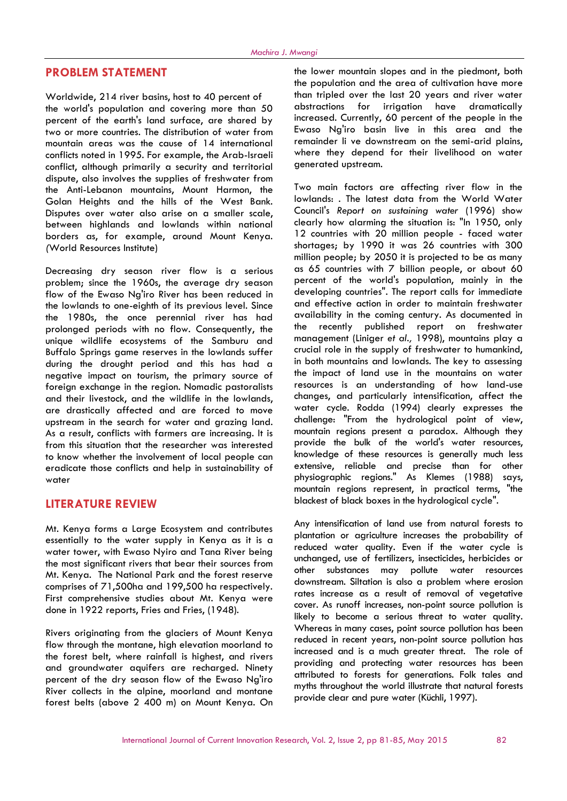#### **PROBLEM STATEMENT**

Worldwide, 214 river basins, host to 40 percent of the world's population and covering more than 50 percent of the earth's land surface, are shared by two or more countries. The distribution of water from mountain areas was the cause of 14 international conflicts noted in 1995. For example, the Arab-Israeli conflict, although primarily a security and territorial dispute, also involves the supplies of freshwater from the Anti-Lebanon mountains, Mount Harmon, the Golan Heights and the hills of the West Bank. Disputes over water also arise on a smaller scale, between highlands and lowlands within national borders as, for example, around Mount Kenya. *(*World Resources Institute)

Decreasing dry season river flow is a serious problem; since the 1960s, the average dry season flow of the Ewaso Ng'iro River has been reduced in the lowlands to one-eighth of its previous level. Since the 1980s, the once perennial river has had availability in<br>prolonged periods with no flow Consequently the the recently prolonged periods with no flow. Consequently, the unique wildlife ecosystems of the Samburu and Buffalo Springs game reserves in the lowlands suffer during the drought period and this has had a negative impact on tourism, the primary source of foreign exchange in the region. Nomadic pastoralists and their livestock, and the wildlife in the lowlands, are drastically affected and are forced to move upstream in the search for water and grazing land. As a result, conflicts with farmers are increasing. It is from this situation that the researcher was interested to know whether the involvement of local people can eradicate those conflicts and help in sustainability of water

### **LITERATURE REVIEW**

Mt. Kenya forms a Large Ecosystem and contributes essentially to the water supply in Kenya as it is a water tower, with Ewaso Nyiro and Tana River being the most significant rivers that bear their sources from Mt. Kenya. The National Park and the forest reserve comprises of 71,500ha and 199,500 ha respectively. First comprehensive studies about Mt. Kenya were done in 1922 reports, Fries and Fries, (1948).

Rivers originating from the glaciers of Mount Kenya flow through the montane, high elevation moorland to the forest belt, where rainfall is highest, and rivers and groundwater aquifers are recharged. Ninety percent of the dry season flow of the Ewaso Ng'iro River collects in the alpine, moorland and montane forest belts (above 2 400 m) on Mount Kenya. On the lower mountain slopes and in the piedmont, both the population and the area of cultivation have more than tripled over the last 20 years and river water abstractions for irrigation have dramatically increased. Currently, 60 percent of the people in the Ewaso Ng'iro basin live in this area and the remainder li ve downstream on the semi-arid plains, where they depend for their livelihood on water generated upstream.

Two main factors are affecting river flow in the lowlands: . The latest data from the World Water Council's *Report on sustaining water* (1996) show clearly how alarming the situation is: "In 1950, only 12 countries with 20 million people - faced water shortages; by 1990 it was 26 countries with 300 million people; by 2050 it is projected to be as many as 65 countries with 7 billion people, or about 60 percent of the world's population, mainly in the developing countries". The report calls for immediate and effective action in order to maintain freshwater availability in the coming century. As documented in published report on freshwater management (Liniger *et al.,* 1998), mountains play a crucial role in the supply of freshwater to humankind, in both mountains and lowlands. The key to assessing the impact of land use in the mountains on water resources is an understanding of how land-use changes, and particularly intensification, affect the water cycle. Rodda (1994) clearly expresses the challenge: "From the hydrological point of view, mountain regions present a paradox. Although they provide the bulk of the world's water resources, knowledge of these resources is generally much less extensive, reliable and precise than for other physiographic regions." As Klemes (1988) says, mountain regions represent, in practical terms, "the blackest of black boxes in the hydrological cycle".

Any intensification of land use from natural forests to plantation or agriculture increases the probability of reduced water quality. Even if the water cycle is unchanged, use of fertilizers, insecticides, herbicides or other substances may pollute water resources downstream. Siltation is also a problem where erosion rates increase as a result of removal of vegetative cover. As runoff increases, non-point source pollution is likely to become a serious threat to water quality. Whereas in many cases, point source pollution has been reduced in recent years, non-point source pollution has increased and is a much greater threat. The role of providing and protecting water resources has been attributed to forests for generations. Folk tales and myths throughout the world illustrate that natural forests provide clear and pure water (Küchli, 1997).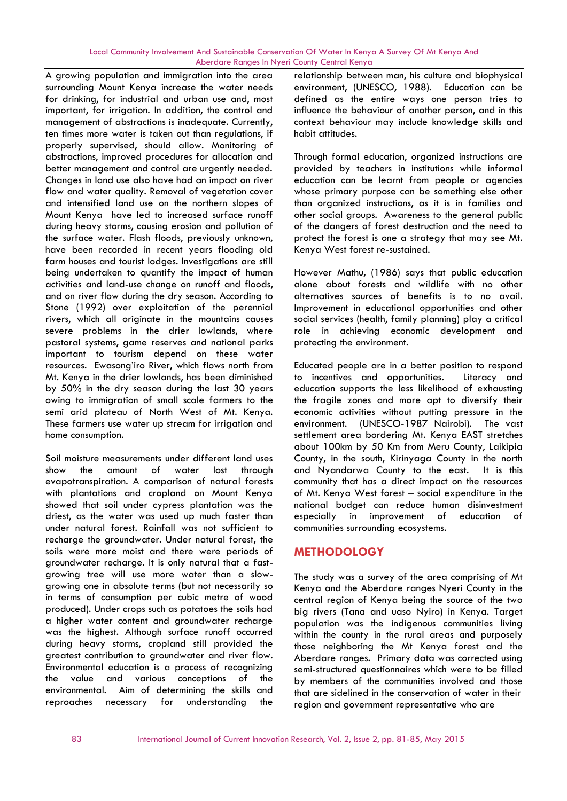#### Local Community Involvement And Sustainable Conservation Of Water In Kenya A Survey Of Mt Kenya And Aberdare Ranges In Nyeri County Central Kenya

A growing population and immigration into the area surrounding Mount Kenya increase the water needs for drinking, for industrial and urban use and, most important, for irrigation. In addition, the control and management of abstractions is inadequate. Currently, ten times more water is taken out than regulations, if properly supervised, should allow. Monitoring of abstractions, improved procedures for allocation and better management and control are urgently needed. Changes in land use also have had an impact on river flow and water quality. Removal of vegetation cover and intensified land use on the northern slopes of Mount Kenya have led to increased surface runoff during heavy storms, causing erosion and pollution of the surface water. Flash floods, previously unknown, have been recorded in recent years flooding old farm houses and tourist lodges. Investigations are still being undertaken to quantify the impact of human activities and land-use change on runoff and floods, and on river flow during the dry season. According to Stone (1992) over exploitation of the perennial rivers, which all originate in the mountains causes severe problems in the drier lowlands, where pastoral systems, game reserves and national parks important to tourism depend on these water resources. Ewasong'iro River, which flows north from Mt. Kenya in the drier lowlands, has been diminished by 50% in the dry season during the last 30 years owing to immigration of small scale farmers to the semi arid plateau of North West of Mt. Kenya. These farmers use water up stream for irrigation and home consumption.

Soil moisture measurements under different land uses show the amount of water lost through evapotranspiration. A comparison of natural forests with plantations and cropland on Mount Kenya showed that soil under cypress plantation was the driest, as the water was used up much faster than under natural forest. Rainfall was not sufficient to recharge the groundwater. Under natural forest, the soils were more moist and there were periods of groundwater recharge. It is only natural that a fast growing tree will use more water than a slow growing one in absolute terms (but not necessarily so in terms of consumption per cubic metre of wood produced). Under crops such as potatoes the soils had a higher water content and groundwater recharge was the highest. Although surface runoff occurred during heavy storms, cropland still provided the greatest contribution to groundwater and river flow. Environmental education is a process of recognizing the value and various conceptions of the environmental. Aim of determining the skills and reproaches necessary for understanding the

relationship between man, his culture and biophysical environment, (UNESCO, 1988). Education can be defined as the entire ways one person tries to influence the behaviour of another person, and in this context behaviour may include knowledge skills and habit attitudes.

Through formal education, organized instructions are provided by teachers in institutions while informal education can be learnt from people or agencies whose primary purpose can be something else other than organized instructions, as it is in families and other social groups. Awareness to the general public of the dangers of forest destruction and the need to protect the forest is one a strategy that may see Mt. Kenya West forest re-sustained.

However Mathu, (1986) says that public education alone about forests and wildlife with no other alternatives sources of benefits is to no avail. Improvement in educational opportunities and other social services (health, family planning) play a critical role in achieving economic development and protecting the environment.

Educated people are in a better position to respond to incentives and opportunities. Literacy and education supports the less likelihood of exhausting the fragile zones and more apt to diversify their economic activities without putting pressure in the environment. (UNESCO-1987 Nairobi). The vast settlement area bordering Mt. Kenya EAST stretches about 100km by 50 Km from Meru County, Laikipia County, in the south, Kirinyaga County in the north and Nyandarwa County to the east. It is this community that has a direct impact on the resources of Mt. Kenya West forest – social expenditure in the national budget can reduce human disinvestment especially in improvement of education of communities surrounding ecosystems.

## **METHODOLOGY**

The study was a survey of the area comprising of Mt Kenya and the Aberdare ranges Nyeri County in the central region of Kenya being the source of the two big rivers (Tana and uaso Nyiro) in Kenya. Target population was the indigenous communities living within the county in the rural areas and purposely those neighboring the Mt Kenya forest and the Aberdare ranges. Primary data was corrected using semi-structured questionnaires which were to be filled by members of the communities involved and those that are sidelined in the conservation of water in their region and government representative who are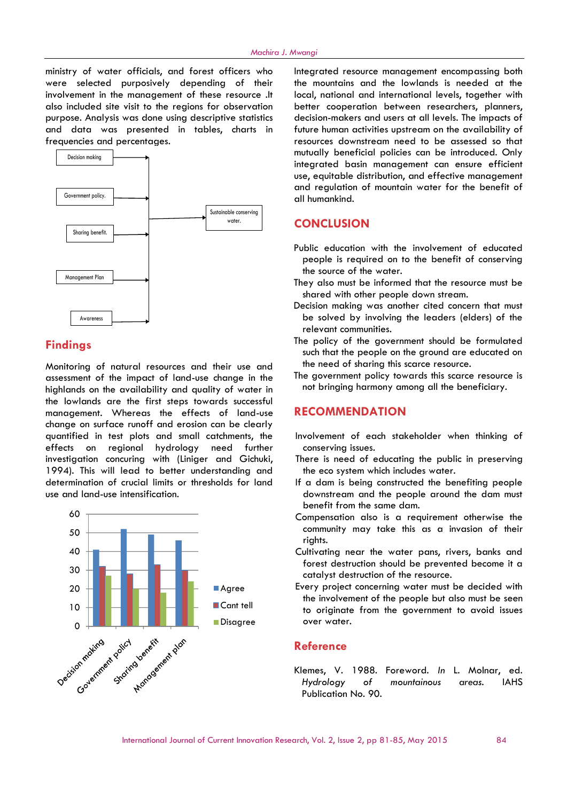ministry of water officials, and forest officers who were selected purposively depending of their involvement in the management of these resource .It also included site visit to the regions for observation purpose. Analysis was done using descriptive statistics and data was presented in tables, charts in frequencies and percentages.



### **Findings**

Monitoring of natural resources and their use and assessment of the impact of land-use change in the highlands on the availability and quality of water in the lowlands are the first steps towards successful management. Whereas the effects of land-use change on surface runoff and erosion can be clearly quantified in test plots and small catchments, the effects on regional hydrology need further investigation concuring with (Liniger and Gichuki, 1994). This will lead to better understanding and determination of crucial limits or thresholds for land use and land-use intensification.



Integrated resource management encompassing both the mountains and the lowlands is needed at the local, national and international levels, together with better cooperation between researchers, planners, decision-makers and users at all levels. The impacts of future human activities upstream on the availability of resources downstream need to be assessed so that mutually beneficial policies can be introduced. Only integrated basin management can ensure efficient use, equitable distribution, and effective management and regulation of mountain water for the benefit of all humankind.

### **CONCLUSION**

- Public education with the involvement of educated people is required on to the benefit of conserving the source of the water.
- They also must be informed that the resource must be shared with other people down stream.
- Decision making was another cited concern that must be solved by involving the leaders (elders) of the relevant communities.
- The policy of the government should be formulated such that the people on the ground are educated on the need of sharing this scarce resource.
- The government policy towards this scarce resource is not bringing harmony among all the beneficiary.

### **RECOMMENDATION**

- Involvement of each stakeholder when thinking of conserving issues.
- There is need of educating the public in preserving the eco system which includes water.
- If a dam is being constructed the benefiting people downstream and the people around the dam must benefit from the same dam.
- Compensation also is a requirement otherwise the community may take this as a invasion of their rights.
- Cultivating near the water pans, rivers, banks and forest destruction should be prevented become it a catalyst destruction of the resource.
- Every project concerning water must be decided with the involvement of the people but also must be seen to originate from the government to avoid issues over water.

#### **Reference**

Klemes, V. 1988. Foreword. *In* L. Molnar, ed. *Hydrology of mountainous areas.* IAHS Publication No. 90.